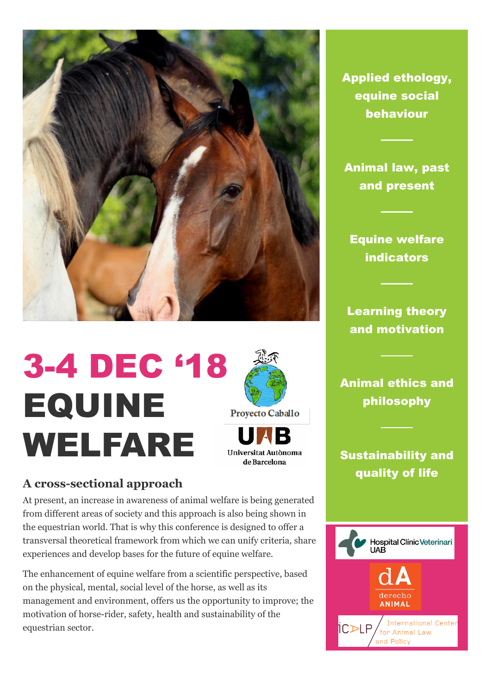

# 3-4 DEC '18 EQUINE **Proyecto Caballo** WELFARE Universitat Autònoma de Barcelona

### **A cross-sectional approach**

At present, an increase in awareness of animal welfare is being generated from different areas of society and this approach is also being shown in the equestrian world. That is why this conference is designed to offer a transversal theoretical framework from which we can unify criteria, share experiences and develop bases for the future of equine welfare.

The enhancement of equine welfare from a scientific perspective, based on the physical, mental, social level of the horse, as well as its management and environment, offers us the opportunity to improve; the motivation of horse-rider, safety, health and sustainability of the equestrian sector.

Applied ethology, equine social behaviour

Animal law, past and present

Equine welfare indicators

Learning theory and motivation

Animal ethics and philosophy

## Sustainability and quality of life